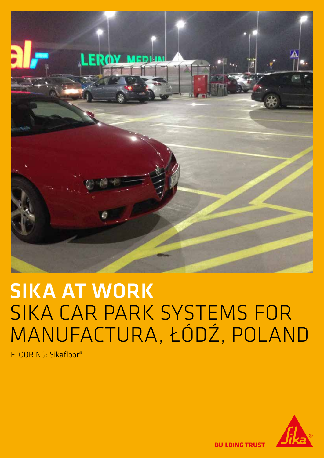

# SIKA AT WORK SIKA CAR PARK SYSTEMS FOR MANUFACTURA, ŁÓDŹ, POLAND

FLOORING: Sikafloor®



**BUILDING TRUST**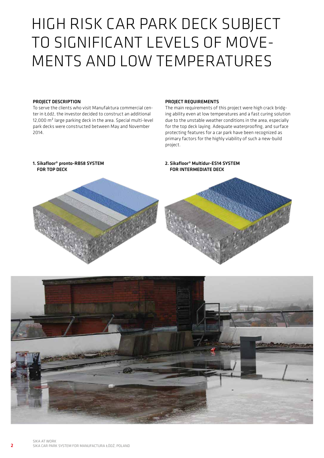### HIGH RISK CAR PARK DECK SUBJECT TO SIGNIFICANT LEVELS OF MOVE-MENTS AND LOW TEMPERATURES

#### PROJECT DESCRIPTION

To serve the clients who visit Manufaktura commercial center in Łódź, the investor decided to construct an additional 12,000 m² large parking deck in the area. Special multi-level park decks were constructed between May and November 2014.

#### PROJECT REQUIREMENTS

The main requirements of this project were high crack bridging ability even at low temperatures and a fast curing solution due to the unstable weather conditions in the area, especially for the top deck laying. Adequate waterproofing, and surface protecting features for a car park have been recognized as primary factors for the highly viability of such a new-build project.



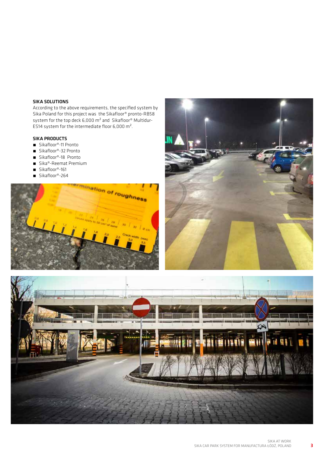#### SIKA SOLUTIONS

According to the above requirements, the specified system by Sika Poland for this project was the Sikafloor® pronto-RB58 system for the top deck 6,000 m² and Sikafloor® Multidur-ES14 system for the intermediate floor 6,000 m².

#### SIKA PRODUCTS

- Sikafloor®-11 Pronto
- Sikafloor®-32 Pronto
- Sikafloor®-18 Pronto
- Sika®-Reemat Premium
- Sikafloor®-161
- Sikafloor®-264